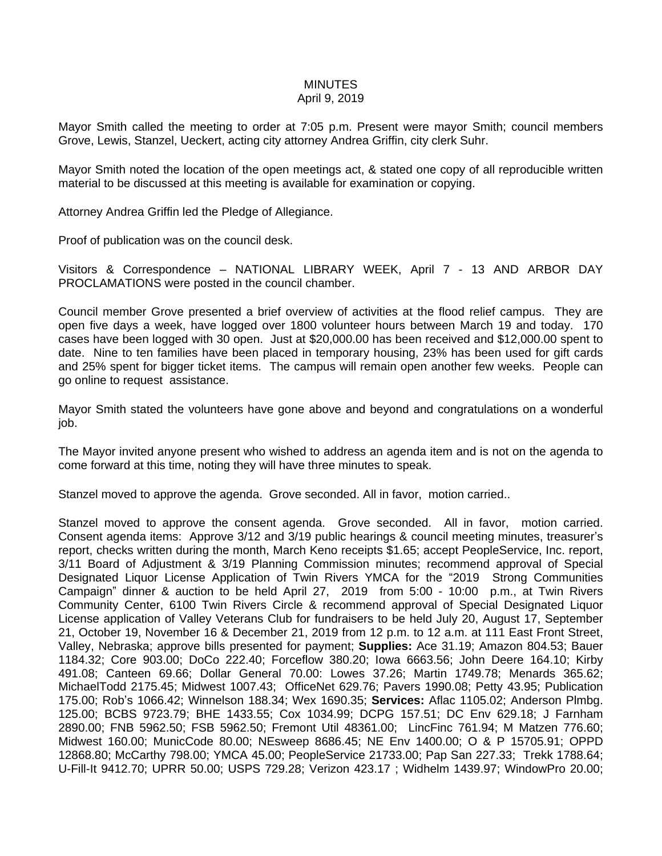## **MINUTES**

## April 9, 2019

Mayor Smith called the meeting to order at 7:05 p.m. Present were mayor Smith; council members Grove, Lewis, Stanzel, Ueckert, acting city attorney Andrea Griffin, city clerk Suhr.

Mayor Smith noted the location of the open meetings act, & stated one copy of all reproducible written material to be discussed at this meeting is available for examination or copying.

Attorney Andrea Griffin led the Pledge of Allegiance.

Proof of publication was on the council desk.

Visitors & Correspondence – NATIONAL LIBRARY WEEK, April 7 - 13 AND ARBOR DAY PROCLAMATIONS were posted in the council chamber.

Council member Grove presented a brief overview of activities at the flood relief campus. They are open five days a week, have logged over 1800 volunteer hours between March 19 and today. 170 cases have been logged with 30 open. Just at \$20,000.00 has been received and \$12,000.00 spent to date. Nine to ten families have been placed in temporary housing, 23% has been used for gift cards and 25% spent for bigger ticket items. The campus will remain open another few weeks. People can go online to request assistance.

Mayor Smith stated the volunteers have gone above and beyond and congratulations on a wonderful job.

The Mayor invited anyone present who wished to address an agenda item and is not on the agenda to come forward at this time, noting they will have three minutes to speak.

Stanzel moved to approve the agenda. Grove seconded. All in favor, motion carried..

Stanzel moved to approve the consent agenda. Grove seconded. All in favor, motion carried. Consent agenda items: Approve 3/12 and 3/19 public hearings & council meeting minutes, treasurer's report, checks written during the month, March Keno receipts \$1.65; accept PeopleService, Inc. report, 3/11 Board of Adjustment & 3/19 Planning Commission minutes; recommend approval of Special Designated Liquor License Application of Twin Rivers YMCA for the "2019 Strong Communities Campaign" dinner & auction to be held April 27, 2019 from 5:00 - 10:00 p.m., at Twin Rivers Community Center, 6100 Twin Rivers Circle & recommend approval of Special Designated Liquor License application of Valley Veterans Club for fundraisers to be held July 20, August 17, September 21, October 19, November 16 & December 21, 2019 from 12 p.m. to 12 a.m. at 111 East Front Street, Valley, Nebraska; approve bills presented for payment; **Supplies:** Ace 31.19; Amazon 804.53; Bauer 1184.32; Core 903.00; DoCo 222.40; Forceflow 380.20; Iowa 6663.56; John Deere 164.10; Kirby 491.08; Canteen 69.66; Dollar General 70.00: Lowes 37.26; Martin 1749.78; Menards 365.62; MichaelTodd 2175.45; Midwest 1007.43; OfficeNet 629.76; Pavers 1990.08; Petty 43.95; Publication 175.00; Rob's 1066.42; Winnelson 188.34; Wex 1690.35; **Services:** Aflac 1105.02; Anderson Plmbg. 125.00; BCBS 9723.79; BHE 1433.55; Cox 1034.99; DCPG 157.51; DC Env 629.18; J Farnham 2890.00; FNB 5962.50; FSB 5962.50; Fremont Util 48361.00; LincFinc 761.94; M Matzen 776.60; Midwest 160.00; MunicCode 80.00; NEsweep 8686.45; NE Env 1400.00; O & P 15705.91; OPPD 12868.80; McCarthy 798.00; YMCA 45.00; PeopleService 21733.00; Pap San 227.33; Trekk 1788.64; U-Fill-It 9412.70; UPRR 50.00; USPS 729.28; Verizon 423.17 ; Widhelm 1439.97; WindowPro 20.00;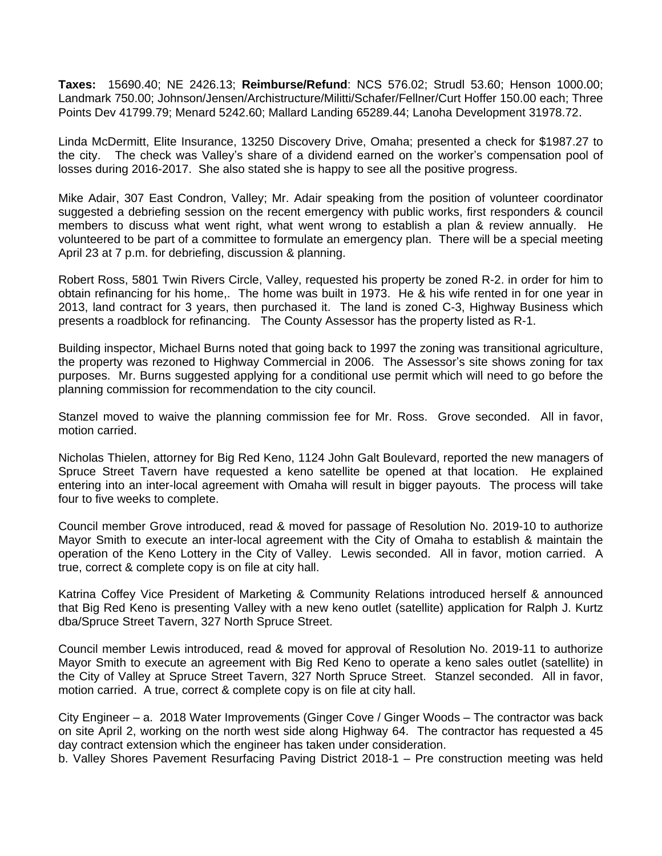**Taxes:** 15690.40; NE 2426.13; **Reimburse/Refund**: NCS 576.02; Strudl 53.60; Henson 1000.00; Landmark 750.00; Johnson/Jensen/Archistructure/Militti/Schafer/Fellner/Curt Hoffer 150.00 each; Three Points Dev 41799.79; Menard 5242.60; Mallard Landing 65289.44; Lanoha Development 31978.72.

Linda McDermitt, Elite Insurance, 13250 Discovery Drive, Omaha; presented a check for \$1987.27 to the city. The check was Valley's share of a dividend earned on the worker's compensation pool of losses during 2016-2017. She also stated she is happy to see all the positive progress.

Mike Adair, 307 East Condron, Valley; Mr. Adair speaking from the position of volunteer coordinator suggested a debriefing session on the recent emergency with public works, first responders & council members to discuss what went right, what went wrong to establish a plan & review annually. He volunteered to be part of a committee to formulate an emergency plan. There will be a special meeting April 23 at 7 p.m. for debriefing, discussion & planning.

Robert Ross, 5801 Twin Rivers Circle, Valley, requested his property be zoned R-2. in order for him to obtain refinancing for his home,. The home was built in 1973. He & his wife rented in for one year in 2013, land contract for 3 years, then purchased it. The land is zoned C-3, Highway Business which presents a roadblock for refinancing. The County Assessor has the property listed as R-1.

Building inspector, Michael Burns noted that going back to 1997 the zoning was transitional agriculture, the property was rezoned to Highway Commercial in 2006. The Assessor's site shows zoning for tax purposes. Mr. Burns suggested applying for a conditional use permit which will need to go before the planning commission for recommendation to the city council.

Stanzel moved to waive the planning commission fee for Mr. Ross. Grove seconded. All in favor, motion carried.

Nicholas Thielen, attorney for Big Red Keno, 1124 John Galt Boulevard, reported the new managers of Spruce Street Tavern have requested a keno satellite be opened at that location. He explained entering into an inter-local agreement with Omaha will result in bigger payouts. The process will take four to five weeks to complete.

Council member Grove introduced, read & moved for passage of Resolution No. 2019-10 to authorize Mayor Smith to execute an inter-local agreement with the City of Omaha to establish & maintain the operation of the Keno Lottery in the City of Valley. Lewis seconded. All in favor, motion carried. A true, correct & complete copy is on file at city hall.

Katrina Coffey Vice President of Marketing & Community Relations introduced herself & announced that Big Red Keno is presenting Valley with a new keno outlet (satellite) application for Ralph J. Kurtz dba/Spruce Street Tavern, 327 North Spruce Street.

Council member Lewis introduced, read & moved for approval of Resolution No. 2019-11 to authorize Mayor Smith to execute an agreement with Big Red Keno to operate a keno sales outlet (satellite) in the City of Valley at Spruce Street Tavern, 327 North Spruce Street. Stanzel seconded. All in favor, motion carried. A true, correct & complete copy is on file at city hall.

City Engineer – a. 2018 Water Improvements (Ginger Cove / Ginger Woods – The contractor was back on site April 2, working on the north west side along Highway 64. The contractor has requested a 45 day contract extension which the engineer has taken under consideration.

b. Valley Shores Pavement Resurfacing Paving District 2018-1 – Pre construction meeting was held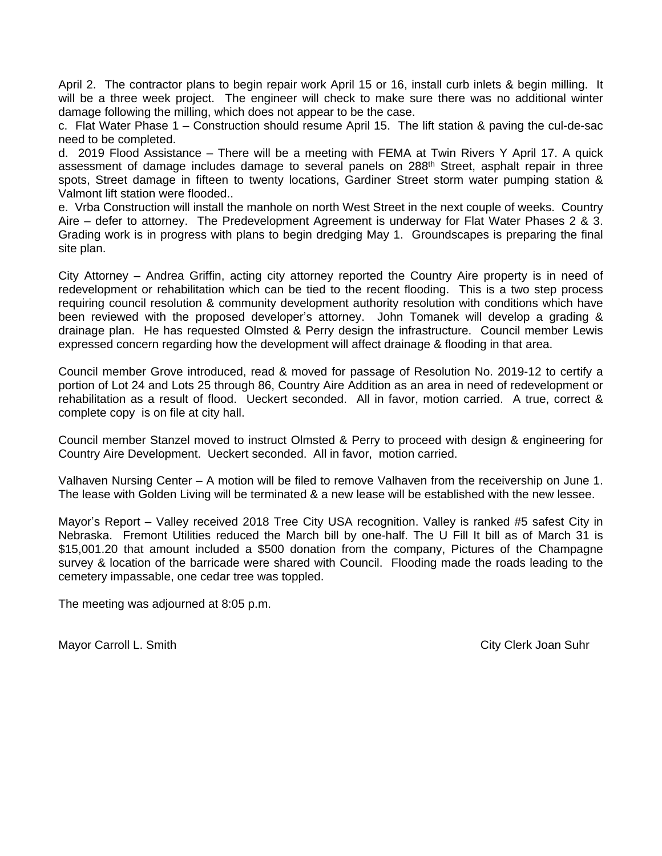April 2. The contractor plans to begin repair work April 15 or 16, install curb inlets & begin milling. It will be a three week project. The engineer will check to make sure there was no additional winter damage following the milling, which does not appear to be the case.

c. Flat Water Phase 1 – Construction should resume April 15. The lift station & paving the cul-de-sac need to be completed.

d. 2019 Flood Assistance – There will be a meeting with FEMA at Twin Rivers Y April 17. A quick assessment of damage includes damage to several panels on 288<sup>th</sup> Street, asphalt repair in three spots, Street damage in fifteen to twenty locations, Gardiner Street storm water pumping station & Valmont lift station were flooded..

e. Vrba Construction will install the manhole on north West Street in the next couple of weeks. Country Aire – defer to attorney. The Predevelopment Agreement is underway for Flat Water Phases 2 & 3. Grading work is in progress with plans to begin dredging May 1. Groundscapes is preparing the final site plan.

City Attorney – Andrea Griffin, acting city attorney reported the Country Aire property is in need of redevelopment or rehabilitation which can be tied to the recent flooding. This is a two step process requiring council resolution & community development authority resolution with conditions which have been reviewed with the proposed developer's attorney. John Tomanek will develop a grading & drainage plan. He has requested Olmsted & Perry design the infrastructure. Council member Lewis expressed concern regarding how the development will affect drainage & flooding in that area.

Council member Grove introduced, read & moved for passage of Resolution No. 2019-12 to certify a portion of Lot 24 and Lots 25 through 86, Country Aire Addition as an area in need of redevelopment or rehabilitation as a result of flood. Ueckert seconded. All in favor, motion carried. A true, correct & complete copy is on file at city hall.

Council member Stanzel moved to instruct Olmsted & Perry to proceed with design & engineering for Country Aire Development. Ueckert seconded. All in favor, motion carried.

Valhaven Nursing Center – A motion will be filed to remove Valhaven from the receivership on June 1. The lease with Golden Living will be terminated & a new lease will be established with the new lessee.

Mayor's Report – Valley received 2018 Tree City USA recognition. Valley is ranked #5 safest City in Nebraska. Fremont Utilities reduced the March bill by one-half. The U Fill It bill as of March 31 is \$15,001.20 that amount included a \$500 donation from the company, Pictures of the Champagne survey & location of the barricade were shared with Council. Flooding made the roads leading to the cemetery impassable, one cedar tree was toppled.

The meeting was adjourned at 8:05 p.m.

Mayor Carroll L. Smith City Clerk Joan Suhr